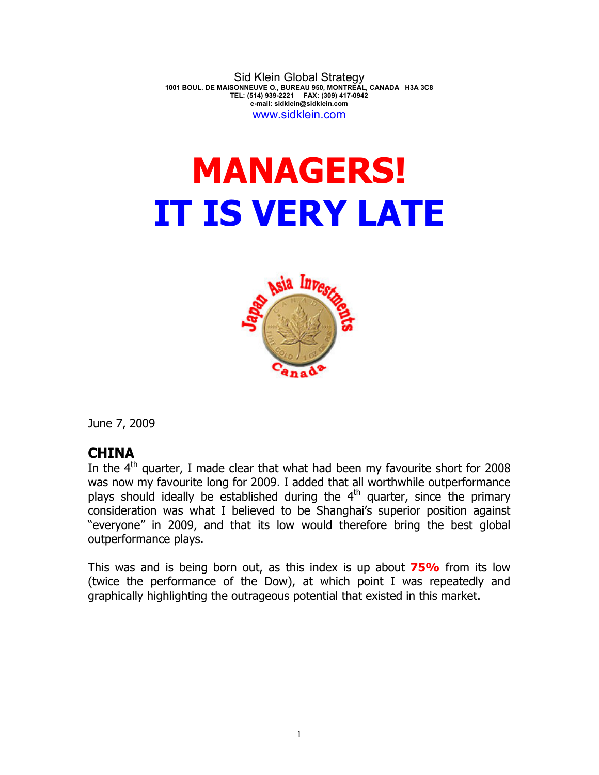Sid Klein Global Strategy **1001 BOUL. DE MAISONNEUVE O., BUREAU 950, MONTREAL, CANADA H3A 3C8 TEL: (514) 939-2221 FAX: (309) 417-0942 e-mail: sidklein@sidklein.com**  www.sidklein.com

## **MANAGERS! IT IS VERY LATE**



June 7, 2009

## **CHINA**

In the  $4<sup>th</sup>$  quarter, I made clear that what had been my favourite short for 2008 was now my favourite long for 2009. I added that all worthwhile outperformance plays should ideally be established during the  $4<sup>th</sup>$  quarter, since the primary consideration was what I believed to be Shanghai's superior position against "everyone" in 2009, and that its low would therefore bring the best global outperformance plays.

This was and is being born out, as this index is up about **75%** from its low (twice the performance of the Dow), at which point I was repeatedly and graphically highlighting the outrageous potential that existed in this market.